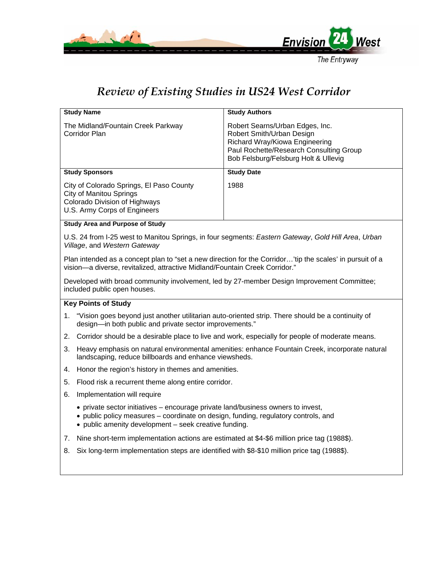

## *Review of Existing Studies in US24 West Corridor*

| <b>Study Name</b>                                                                                                                                                                                                               | <b>Study Authors</b>                                                                                                                                                              |
|---------------------------------------------------------------------------------------------------------------------------------------------------------------------------------------------------------------------------------|-----------------------------------------------------------------------------------------------------------------------------------------------------------------------------------|
| The Midland/Fountain Creek Parkway<br><b>Corridor Plan</b>                                                                                                                                                                      | Robert Searns/Urban Edges, Inc.<br>Robert Smith/Urban Design<br>Richard Wray/Kiowa Engineering<br>Paul Rochette/Research Consulting Group<br>Bob Felsburg/Felsburg Holt & Ullevig |
| <b>Study Sponsors</b>                                                                                                                                                                                                           | <b>Study Date</b>                                                                                                                                                                 |
| City of Colorado Springs, El Paso County<br><b>City of Manitou Springs</b><br>Colorado Division of Highways<br>U.S. Army Corps of Engineers                                                                                     | 1988                                                                                                                                                                              |
| <b>Study Area and Purpose of Study</b>                                                                                                                                                                                          |                                                                                                                                                                                   |
| U.S. 24 from I-25 west to Manitou Springs, in four segments: Eastern Gateway, Gold Hill Area, Urban<br>Village, and Western Gateway                                                                                             |                                                                                                                                                                                   |
| Plan intended as a concept plan to "set a new direction for the Corridor'tip the scales' in pursuit of a<br>vision-a diverse, revitalized, attractive Midland/Fountain Creek Corridor."                                         |                                                                                                                                                                                   |
| Developed with broad community involvement, led by 27-member Design Improvement Committee;<br>included public open houses.                                                                                                      |                                                                                                                                                                                   |
| <b>Key Points of Study</b>                                                                                                                                                                                                      |                                                                                                                                                                                   |
| 1. "Vision goes beyond just another utilitarian auto-oriented strip. There should be a continuity of<br>design-in both public and private sector improvements."                                                                 |                                                                                                                                                                                   |
| Corridor should be a desirable place to live and work, especially for people of moderate means.<br>2.                                                                                                                           |                                                                                                                                                                                   |
| Heavy emphasis on natural environmental amenities: enhance Fountain Creek, incorporate natural<br>3.<br>landscaping, reduce billboards and enhance viewsheds.                                                                   |                                                                                                                                                                                   |
| Honor the region's history in themes and amenities.<br>4.                                                                                                                                                                       |                                                                                                                                                                                   |
| Flood risk a recurrent theme along entire corridor.<br>5.                                                                                                                                                                       |                                                                                                                                                                                   |
| Implementation will require<br>6.                                                                                                                                                                                               |                                                                                                                                                                                   |
| • private sector initiatives – encourage private land/business owners to invest,<br>• public policy measures – coordinate on design, funding, regulatory controls, and<br>• public amenity development - seek creative funding. |                                                                                                                                                                                   |
| Nine short-term implementation actions are estimated at \$4-\$6 million price tag (1988\$).<br>7.                                                                                                                               |                                                                                                                                                                                   |
| Six long-term implementation steps are identified with \$8-\$10 million price tag (1988\$).<br>8.                                                                                                                               |                                                                                                                                                                                   |
|                                                                                                                                                                                                                                 |                                                                                                                                                                                   |